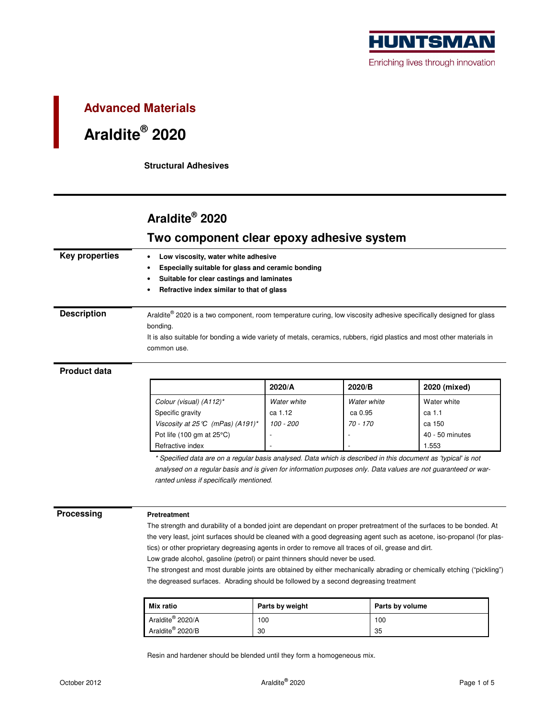

# **Advanced Materials Araldite® 2020**

**Structural Adhesives** 

## **Araldite® 2020**

### **Two component clear epoxy adhesive system**

| Key properties                                                                                                          | Low viscosity, water white adhesive                                                                                            |             |             |                 |  |  |  |  |
|-------------------------------------------------------------------------------------------------------------------------|--------------------------------------------------------------------------------------------------------------------------------|-------------|-------------|-----------------|--|--|--|--|
|                                                                                                                         | Especially suitable for glass and ceramic bonding                                                                              |             |             |                 |  |  |  |  |
|                                                                                                                         | Suitable for clear castings and laminates                                                                                      |             |             |                 |  |  |  |  |
|                                                                                                                         | Refractive index similar to that of glass                                                                                      |             |             |                 |  |  |  |  |
| <b>Description</b>                                                                                                      | Araldite® 2020 is a two component, room temperature curing, low viscosity adhesive specifically designed for glass<br>bonding. |             |             |                 |  |  |  |  |
| It is also suitable for bonding a wide variety of metals, ceramics, rubbers, rigid plastics and most other materials in |                                                                                                                                |             |             |                 |  |  |  |  |
|                                                                                                                         | common use.                                                                                                                    |             |             |                 |  |  |  |  |
|                                                                                                                         |                                                                                                                                |             |             |                 |  |  |  |  |
| <b>Product data</b>                                                                                                     |                                                                                                                                |             |             |                 |  |  |  |  |
|                                                                                                                         |                                                                                                                                | 2020/A      | 2020/B      | 2020 (mixed)    |  |  |  |  |
|                                                                                                                         | Colour (visual) (A112)*                                                                                                        | Water white | Water white | Water white     |  |  |  |  |
|                                                                                                                         | Specific gravity                                                                                                               | ca 1.12     | ca 0.95     | ca 1.1          |  |  |  |  |
|                                                                                                                         | Viscosity at 25 °C (mPas) (A191)*                                                                                              | $100 - 200$ | $70 - 170$  | ca 150          |  |  |  |  |
|                                                                                                                         | Pot life $(100 \text{ gm at } 25^{\circ}\text{C})$                                                                             |             |             | 40 - 50 minutes |  |  |  |  |
|                                                                                                                         | Refractive index                                                                                                               |             |             | 1.553           |  |  |  |  |
|                                                                                                                         | * Specified data are on a regular basis analysed. Data which is described in this document as 'typical' is not                 |             |             |                 |  |  |  |  |
|                                                                                                                         | analysed on a regular basis and is given for information purposes only. Data values are not guaranteed or war-                 |             |             |                 |  |  |  |  |
|                                                                                                                         | ranted unless if specifically mentioned.                                                                                       |             |             |                 |  |  |  |  |

**Processing Pretreatment** 

The strength and durability of a bonded joint are dependant on proper pretreatment of the surfaces to be bonded. At the very least, joint surfaces should be cleaned with a good degreasing agent such as acetone, iso-propanol (for plastics) or other proprietary degreasing agents in order to remove all traces of oil, grease and dirt.

Low grade alcohol, gasoline (petrol) or paint thinners should never be used.

The strongest and most durable joints are obtained by either mechanically abrading or chemically etching ("pickling") the degreased surfaces. Abrading should be followed by a second degreasing treatment

| Mix ratio                    | Parts by weight | Parts by volume |
|------------------------------|-----------------|-----------------|
| Araldite <sup>®</sup> 2020/A | 100             | 100             |
| Araldite <sup>®</sup> 2020/B | 30              | 35              |

Resin and hardener should be blended until they form a homogeneous mix.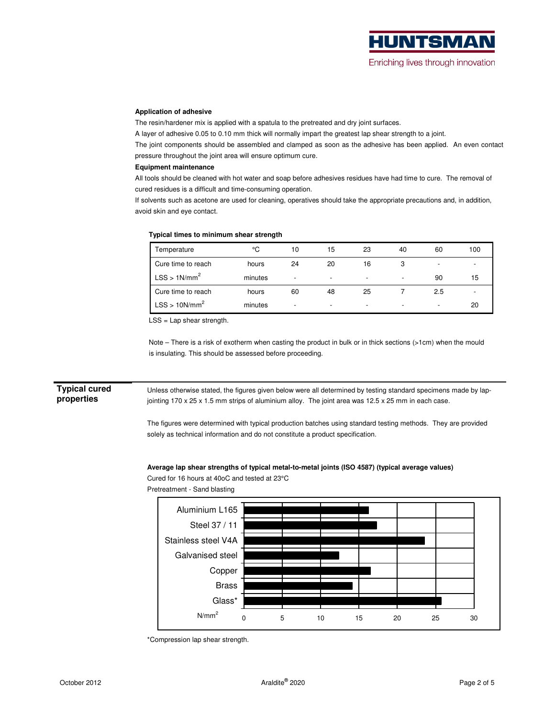#### **Application of adhesive**

The resin/hardener mix is applied with a spatula to the pretreated and dry joint surfaces.

A layer of adhesive 0.05 to 0.10 mm thick will normally impart the greatest lap shear strength to a joint.

The joint components should be assembled and clamped as soon as the adhesive has been applied. An even contact pressure throughout the joint area will ensure optimum cure.

#### **Equipment maintenance**

All tools should be cleaned with hot water and soap before adhesives residues have had time to cure. The removal of cured residues is a difficult and time-consuming operation.

If solvents such as acetone are used for cleaning, operatives should take the appropriate precautions and, in addition, avoid skin and eye contact.

#### **Typical times to minimum shear strength**

| Temperature              | °C      | 10                       | 15                       | 23                       | 40                       | 60                       | 100 |
|--------------------------|---------|--------------------------|--------------------------|--------------------------|--------------------------|--------------------------|-----|
| Cure time to reach       | hours   | 24                       | 20                       | 16                       |                          |                          |     |
| LSS > 1N/mm <sup>2</sup> | minutes | $\overline{\phantom{a}}$ | $\overline{\phantom{0}}$ | $\overline{\phantom{0}}$ | $\overline{\phantom{a}}$ | 90                       | 15  |
| Cure time to reach       | hours   | 60                       | 48                       | 25                       |                          | 2.5                      |     |
| $LSS > 10N/mm^2$         | minutes | $\overline{\phantom{a}}$ | $\overline{\phantom{0}}$ | $\overline{\phantom{a}}$ | $\overline{\phantom{0}}$ | $\overline{\phantom{a}}$ | 20  |

LSS = Lap shear strength.

Note – There is a risk of exotherm when casting the product in bulk or in thick sections (>1cm) when the mould is insulating. This should be assessed before proceeding.

### **Typical cured properties**

Unless otherwise stated, the figures given below were all determined by testing standard specimens made by lapjointing 170 x 25 x 1.5 mm strips of aluminium alloy. The joint area was 12.5 x 25 mm in each case.

The figures were determined with typical production batches using standard testing methods. They are provided solely as technical information and do not constitute a product specification.

#### **Average lap shear strengths of typical metal-to-metal joints (ISO 4587) (typical average values)**

Cured for 16 hours at 40oC and tested at 23°C



Pretreatment - Sand blasting

\*Compression lap shear strength.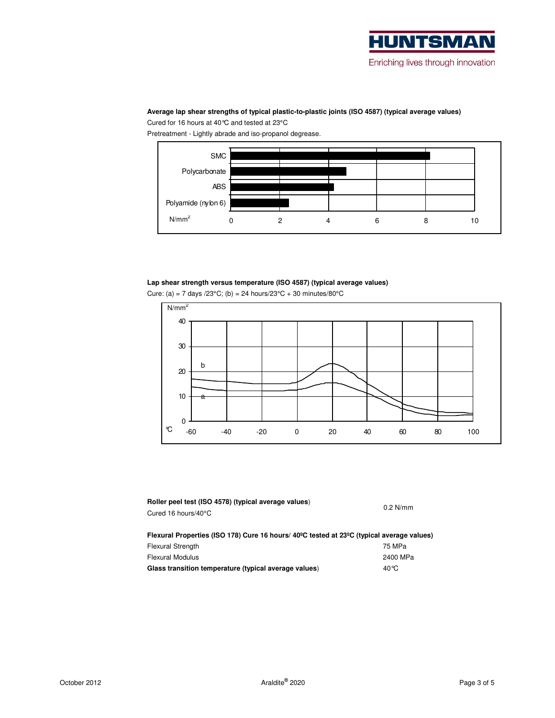

#### **Average lap shear strengths of typical plastic-to-plastic joints (ISO 4587) (typical average values)**

Cured for 16 hours at 40°C and tested at 23°C

Pretreatment - Lightly abrade and iso-propanol degrease.



#### **Lap shear strength versus temperature (ISO 4587) (typical average values)**

|  |  |  |  | Cure: (a) = 7 days /23 $^{\circ}$ C; (b) = 24 hours/23 $^{\circ}$ C + 30 minutes/80 $^{\circ}$ C |
|--|--|--|--|--------------------------------------------------------------------------------------------------|
|  |  |  |  |                                                                                                  |



| Roller peel test (ISO 4578) (typical average values)<br>Cured 16 hours/40°C                                         | $0.2$ N/mm |
|---------------------------------------------------------------------------------------------------------------------|------------|
| Flexural Properties (ISO 178) Cure 16 hours/ 40 <sup>o</sup> C tested at 23 <sup>o</sup> C (typical average values) |            |
| <b>Flexural Strength</b>                                                                                            | 75 MPa     |
| <b>Elexural Modulus</b>                                                                                             | 2400 MPa   |

| Flexural Modulus                                      | 2400 MPa |
|-------------------------------------------------------|----------|
| Glass transition temperature (typical average values) | 40 °C    |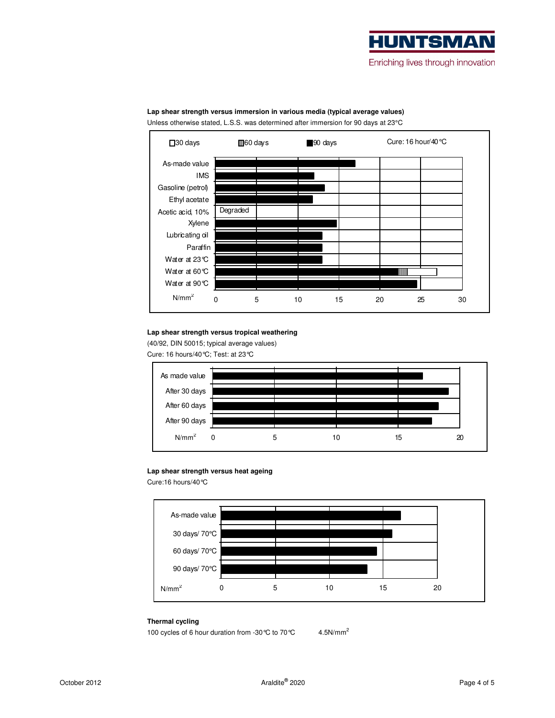



#### **Lap shear strength versus immersion in various media (typical average values)**  Unless otherwise stated, L.S.S. was determined after immersion for 90 days at 23°C

#### **Lap shear strength versus tropical weathering**

(40/92, DIN 50015; typical average values) Cure: 16 hours/40°C; Test: at 23°C



#### **Lap shear strength versus heat ageing**

Cure:16 hours/40°C



#### **Thermal cycling**

100 cycles of 6 hour duration from -30 ℃ to 70 ℃ 4.5N/mm<sup>2</sup>